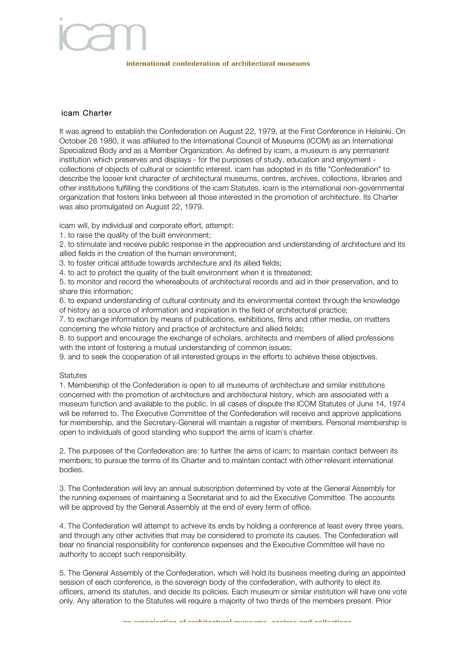# international confederation of architectural museums

## icam Charter

It was agreed to establish the Confederation on August 22, 1979, at the First Conference in Helsinki. On October 26 1980, it was affiliated to the International Council of Museums (ICOM) as an International Specialized Body and as a Member Organization. As defined by icam, a museum is any permanent institution which preserves and displays - for the purposes of study, education and enjoyment collections of objects of cultural or scientific interest. icam has adopted in its title "Confederation" to describe the looser knit character of architectural museums, centres, archives, collections, libraries and other institutions fulfilling the conditions of the icam Statutes. icam is the international non-governmental organization that fosters links between all those interested in the promotion of architecture. Its Charter was also promulgated on August 22, 1979.

icam will, by individual and corporate effort, attempt:

1. to raise the quality of the built environment;

2. to stimulate and receive public response in the appreciation and understanding of architecture and its allied fields in the creation of the human environment;

3. to foster critical attitude towards architecture and its allied fields;

4. to act to protect the quality of the built environment when it is threatened;

5. to monitor and record the whereabouts of architectural records and aid in their preservation, and to share this information;

6. to expand understanding of cultural continuity and its environmental context through the knowledge of history as a source of information and inspiration in the field of architectural practice;

7. to exchange information by means of publications, exhibitions, films and other media, on matters concerning the whole history and practice of architecture and allied fields;

8. to support and encourage the exchange of scholars, architects and members of allied professions with the intent of fostering a mutual understanding of common issues;

9. and to seek the cooperation of all interested groups in the efforts to achieve these objectives.

### **Statutes**

1. Membership of the Confederation is open to all museums of architecture and similar institutions concerned with the promotion of architecture and architectural history, which are associated with a museum function and available to the public. In all cases of dispute the ICOM Statutes of June 14, 1974 will be referred to. The Executive Committee of the Confederation will receive and approve applications for membership, and the Secretary-General will maintain a register of members. Personal membership is open to individuals of good standing who support the aims of icam`s charter.

2. The purposes of the Confederation are: to further the aims of icam; to maintain contact between its members; to pursue the terms of its Charter and to maintain contact with other relevant international bodies.

3. The Confederation will levy an annual subscription determined by vote at the General Assembly for the running expenses of maintaining a Secretariat and to aid the Executive Committee. The accounts will be approved by the General Assembly at the end of every term of office.

4. The Confederation will attempt to achieve its ends by holding a conference at least every three years, and through any other activities that may be considered to promote its causes. The Confederation will bear no financial responsibility for conference expenses and the Executive Committee will have no authority to accept such responsibility.

5. The General Assembly of the Confederation, which will hold its business meeting during an appointed session of each conference, is the sovereign body of the confederation, with authority to elect its officers, amend its statutes, and decide its policies. Each museum or similar institution will have one vote only. Any alteration to the Statutes will require a majority of two thirds of the members present. Prior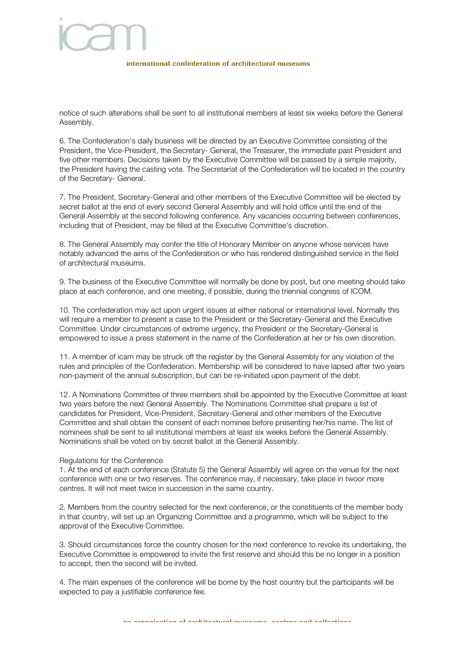## international confederation of architectural museums

notice of such alterations shall be sent to all institutional members at least six weeks before the General Assembly.

6. The Confederation's daily business will be directed by an Executive Committee consisting of the President, the Vice-President, the Secretary- General, the Treasurer, the immediate past President and five other members. Decisions taken by the Executive Committee will be passed by a simple majority, the President having the casting vote. The Secretariat of the Confederation will be located in the country of the Secretary- General.

7. The President, Secretary-General and other members of the Executive Committee will be elected by secret ballot at the end of every second General Assembly and will hold office until the end of the General Assembly at the second following conference. Any vacancies occurring between conferences, including that of President, may be filled at the Executive Committee's discretion.

8. The General Assembly may confer the title of Honorary Member on anyone whose services have notably advanced the aims of the Confederation or who has rendered distinguished service in the field of architectural museums.

9. The business of the Executive Committee will normally be done by post, but one meeting should take place at each conference, and one meeting, if possible, during the triennial congress of ICOM.

10. The confederation may act upon urgent issues at either national or international level. Normally this will require a member to present a case to the President or the Secretary-General and the Executive Committee. Under circumstances of extreme urgency, the President or the Secretary-General is empowered to issue a press statement in the name of the Confederation at her or his own discretion.

11. A member of icam may be struck off the register by the General Assembly for any violation of the rules and principles of the Confederation. Membership will be considered to have lapsed after two years non-payment of the annual subscription, but can be re-initiated upon payment of the debt.

12. A Nominations Committee of three members shall be appointed by the Executive Committee at least two years before the next General Assembly. The Nominations Committee shall prepare a list of candidates for President, Vice-President, Secretary-General and other members of the Executive Committee and shall obtain the consent of each nominee before presenting her/his name. The list of nominees shall be sent to all institutional members at least six weeks before the General Assembly. Nominations shall be voted on by secret ballot at the General Assembly.

### Regulations for the Conference

1. At the end of each conference (Statute 5) the General Assembly will agree on the venue for the next conference with one or two reserves. The conference may, if necessary, take place in twoor more centres. It will not meet twice in succession in the same country.

2. Members from the country selected for the next conference, or the constituents of the member body in that country, will set up an Organizing Committee and a programme, which will be subject to the approval of the Executive Committee.

3. Should circumstances force the country chosen for the next conference to revoke its undertaking, the Executive Committee is empowered to invite the first reserve and should this be no longer in a position to accept, then the second will be invited.

4. The main expenses of the conference will be borne by the host country but the participants will be expected to pay a justifiable conference fee.